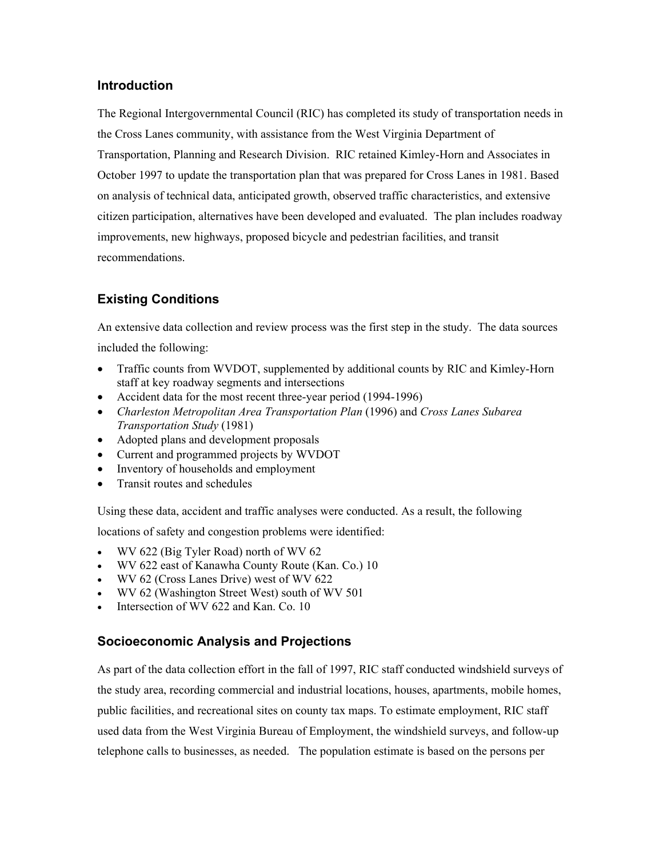### **Introduction**

The Regional Intergovernmental Council (RIC) has completed its study of transportation needs in the Cross Lanes community, with assistance from the West Virginia Department of Transportation, Planning and Research Division. RIC retained Kimley-Horn and Associates in October 1997 to update the transportation plan that was prepared for Cross Lanes in 1981. Based on analysis of technical data, anticipated growth, observed traffic characteristics, and extensive citizen participation, alternatives have been developed and evaluated. The plan includes roadway improvements, new highways, proposed bicycle and pedestrian facilities, and transit recommendations.

# **Existing Conditions**

An extensive data collection and review process was the first step in the study. The data sources included the following:

- Traffic counts from WVDOT, supplemented by additional counts by RIC and Kimley-Horn staff at key roadway segments and intersections
- Accident data for the most recent three-year period (1994-1996)
- *Charleston Metropolitan Area Transportation Plan* (1996) and *Cross Lanes Subarea Transportation Study* (1981)
- Adopted plans and development proposals
- Current and programmed projects by WVDOT
- Inventory of households and employment
- Transit routes and schedules

Using these data, accident and traffic analyses were conducted. As a result, the following

locations of safety and congestion problems were identified:

- WV 622 (Big Tyler Road) north of WV 62
- WV 622 east of Kanawha County Route (Kan. Co.) 10
- WV 62 (Cross Lanes Drive) west of WV 622
- WV 62 (Washington Street West) south of WV 501
- Intersection of WV 622 and Kan. Co. 10

### **Socioeconomic Analysis and Projections**

As part of the data collection effort in the fall of 1997, RIC staff conducted windshield surveys of the study area, recording commercial and industrial locations, houses, apartments, mobile homes, public facilities, and recreational sites on county tax maps. To estimate employment, RIC staff used data from the West Virginia Bureau of Employment, the windshield surveys, and follow-up telephone calls to businesses, as needed. The population estimate is based on the persons per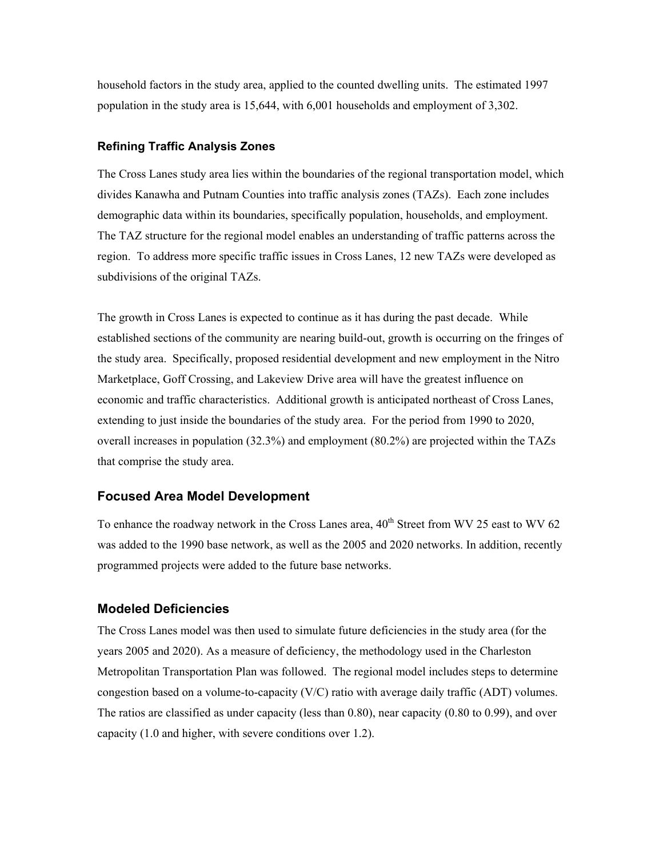household factors in the study area, applied to the counted dwelling units. The estimated 1997 population in the study area is 15,644, with 6,001 households and employment of 3,302.

#### **Refining Traffic Analysis Zones**

The Cross Lanes study area lies within the boundaries of the regional transportation model, which divides Kanawha and Putnam Counties into traffic analysis zones (TAZs). Each zone includes demographic data within its boundaries, specifically population, households, and employment. The TAZ structure for the regional model enables an understanding of traffic patterns across the region. To address more specific traffic issues in Cross Lanes, 12 new TAZs were developed as subdivisions of the original TAZs.

The growth in Cross Lanes is expected to continue as it has during the past decade. While established sections of the community are nearing build-out, growth is occurring on the fringes of the study area. Specifically, proposed residential development and new employment in the Nitro Marketplace, Goff Crossing, and Lakeview Drive area will have the greatest influence on economic and traffic characteristics. Additional growth is anticipated northeast of Cross Lanes, extending to just inside the boundaries of the study area. For the period from 1990 to 2020, overall increases in population (32.3%) and employment (80.2%) are projected within the TAZs that comprise the study area.

#### **Focused Area Model Development**

To enhance the roadway network in the Cross Lanes area,  $40^{th}$  Street from WV 25 east to WV 62 was added to the 1990 base network, as well as the 2005 and 2020 networks. In addition, recently programmed projects were added to the future base networks.

#### **Modeled Deficiencies**

The Cross Lanes model was then used to simulate future deficiencies in the study area (for the years 2005 and 2020). As a measure of deficiency, the methodology used in the Charleston Metropolitan Transportation Plan was followed. The regional model includes steps to determine congestion based on a volume-to-capacity  $(V/C)$  ratio with average daily traffic (ADT) volumes. The ratios are classified as under capacity (less than 0.80), near capacity (0.80 to 0.99), and over capacity (1.0 and higher, with severe conditions over 1.2).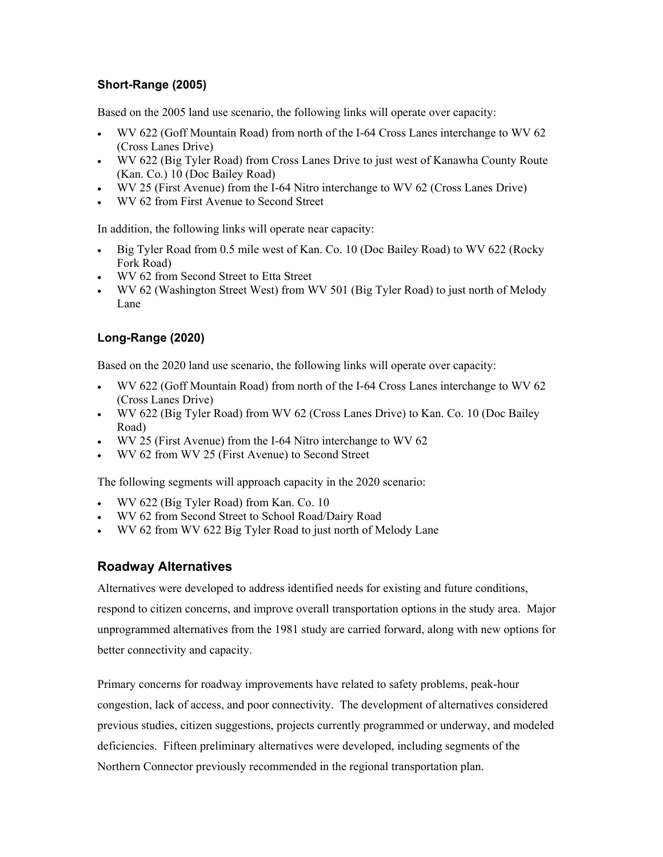#### **Short-Range (2005)**

Based on the 2005 land use scenario, the following links will operate over capacity:

- WV 622 (Goff Mountain Road) from north of the I-64 Cross Lanes interchange to WV 62 (Cross Lanes Drive)
- WV 622 (Big Tyler Road) from Cross Lanes Drive to just west of Kanawha County Route (Kan. Co.) 10 (Doc Bailey Road)
- WV 25 (First Avenue) from the I-64 Nitro interchange to WV 62 (Cross Lanes Drive)
- WV 62 from First Avenue to Second Street

In addition, the following links will operate near capacity:

- Big Tyler Road from 0.5 mile west of Kan. Co. 10 (Doc Bailey Road) to WV 622 (Rocky Fork Road)
- WV 62 from Second Street to Etta Street
- WV 62 (Washington Street West) from WV 501 (Big Tyler Road) to just north of Melody Lane

### **Long-Range (2020)**

Based on the 2020 land use scenario, the following links will operate over capacity:

- WV 622 (Goff Mountain Road) from north of the I-64 Cross Lanes interchange to WV 62 (Cross Lanes Drive)
- WV 622 (Big Tyler Road) from WV 62 (Cross Lanes Drive) to Kan. Co. 10 (Doc Bailey Road)
- WV 25 (First Avenue) from the I-64 Nitro interchange to WV 62
- WV 62 from WV 25 (First Avenue) to Second Street

The following segments will approach capacity in the 2020 scenario:

- WV 622 (Big Tyler Road) from Kan. Co. 10
- WV 62 from Second Street to School Road/Dairy Road
- WV 62 from WV 622 Big Tyler Road to just north of Melody Lane

### **Roadway Alternatives**

Alternatives were developed to address identified needs for existing and future conditions, respond to citizen concerns, and improve overall transportation options in the study area. Major unprogrammed alternatives from the 1981 study are carried forward, along with new options for better connectivity and capacity.

Primary concerns for roadway improvements have related to safety problems, peak-hour congestion, lack of access, and poor connectivity. The development of alternatives considered previous studies, citizen suggestions, projects currently programmed or underway, and modeled deficiencies. Fifteen preliminary alternatives were developed, including segments of the Northern Connector previously recommended in the regional transportation plan.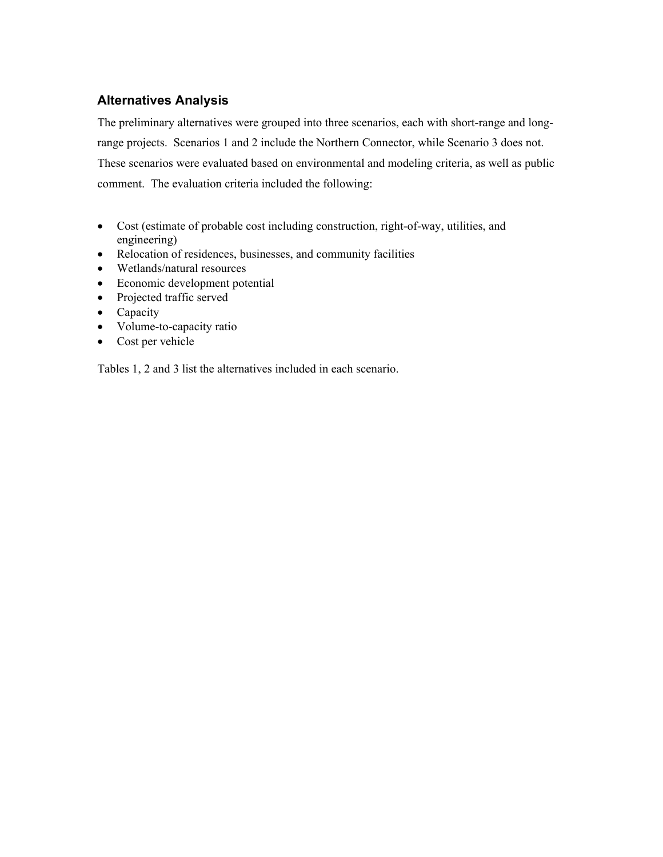## **Alternatives Analysis**

The preliminary alternatives were grouped into three scenarios, each with short-range and longrange projects. Scenarios 1 and 2 include the Northern Connector, while Scenario 3 does not. These scenarios were evaluated based on environmental and modeling criteria, as well as public comment. The evaluation criteria included the following:

- Cost (estimate of probable cost including construction, right-of-way, utilities, and engineering)
- Relocation of residences, businesses, and community facilities
- Wetlands/natural resources
- Economic development potential
- Projected traffic served
- Capacity
- Volume-to-capacity ratio
- Cost per vehicle

Tables 1, 2 and 3 list the alternatives included in each scenario.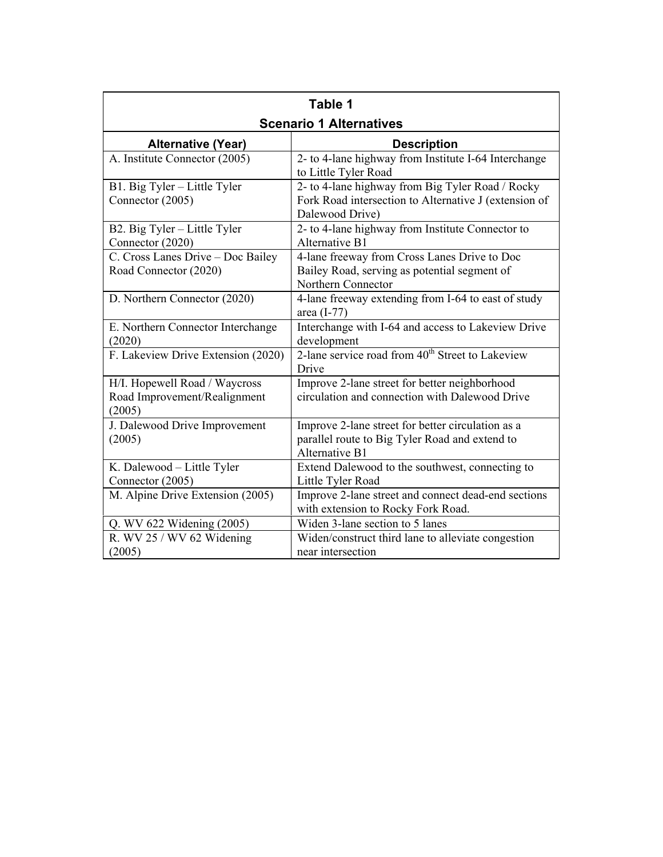| Table 1                                                                 |                                                                                                                              |  |  |  |
|-------------------------------------------------------------------------|------------------------------------------------------------------------------------------------------------------------------|--|--|--|
| <b>Scenario 1 Alternatives</b>                                          |                                                                                                                              |  |  |  |
| <b>Alternative (Year)</b>                                               | <b>Description</b>                                                                                                           |  |  |  |
| A. Institute Connector (2005)                                           | 2- to 4-lane highway from Institute I-64 Interchange<br>to Little Tyler Road                                                 |  |  |  |
| B1. Big Tyler - Little Tyler<br>Connector (2005)                        | 2- to 4-lane highway from Big Tyler Road / Rocky<br>Fork Road intersection to Alternative J (extension of<br>Dalewood Drive) |  |  |  |
| B2. Big Tyler - Little Tyler<br>Connector (2020)                        | 2- to 4-lane highway from Institute Connector to<br><b>Alternative B1</b>                                                    |  |  |  |
| C. Cross Lanes Drive - Doc Bailey<br>Road Connector (2020)              | 4-lane freeway from Cross Lanes Drive to Doc<br>Bailey Road, serving as potential segment of<br>Northern Connector           |  |  |  |
| D. Northern Connector (2020)                                            | 4-lane freeway extending from I-64 to east of study<br>area $(I-77)$                                                         |  |  |  |
| E. Northern Connector Interchange<br>(2020)                             | Interchange with I-64 and access to Lakeview Drive<br>development                                                            |  |  |  |
| F. Lakeview Drive Extension (2020)                                      | 2-lane service road from 40 <sup>th</sup> Street to Lakeview<br>Drive                                                        |  |  |  |
| H/I. Hopewell Road / Waycross<br>Road Improvement/Realignment<br>(2005) | Improve 2-lane street for better neighborhood<br>circulation and connection with Dalewood Drive                              |  |  |  |
| J. Dalewood Drive Improvement<br>(2005)                                 | Improve 2-lane street for better circulation as a<br>parallel route to Big Tyler Road and extend to<br><b>Alternative B1</b> |  |  |  |
| K. Dalewood - Little Tyler<br>Connector (2005)                          | Extend Dalewood to the southwest, connecting to<br>Little Tyler Road                                                         |  |  |  |
| M. Alpine Drive Extension (2005)                                        | Improve 2-lane street and connect dead-end sections<br>with extension to Rocky Fork Road.                                    |  |  |  |
| Q. WV 622 Widening (2005)                                               | Widen 3-lane section to 5 lanes                                                                                              |  |  |  |
| R. WV 25 / WV 62 Widening<br>(2005)                                     | Widen/construct third lane to alleviate congestion<br>near intersection                                                      |  |  |  |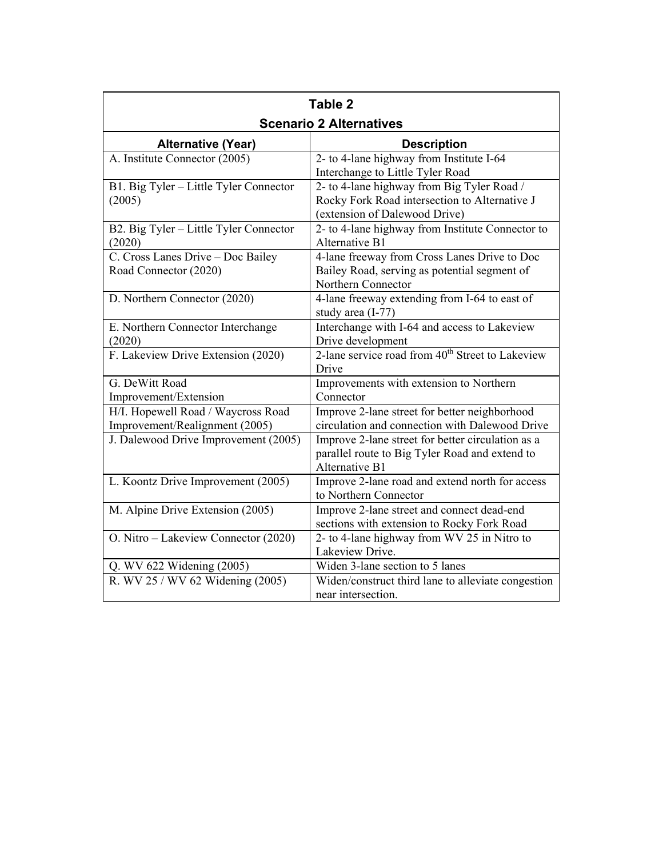| Table 2<br><b>Scenario 2 Alternatives</b>                            |                                                                                                                              |  |  |  |
|----------------------------------------------------------------------|------------------------------------------------------------------------------------------------------------------------------|--|--|--|
| <b>Alternative (Year)</b>                                            | <b>Description</b>                                                                                                           |  |  |  |
| A. Institute Connector (2005)                                        | 2- to 4-lane highway from Institute I-64<br>Interchange to Little Tyler Road                                                 |  |  |  |
| B1. Big Tyler - Little Tyler Connector<br>(2005)                     | 2- to 4-lane highway from Big Tyler Road /<br>Rocky Fork Road intersection to Alternative J<br>(extension of Dalewood Drive) |  |  |  |
| B2. Big Tyler – Little Tyler Connector<br>(2020)                     | 2- to 4-lane highway from Institute Connector to<br>Alternative B1                                                           |  |  |  |
| C. Cross Lanes Drive - Doc Bailey<br>Road Connector (2020)           | 4-lane freeway from Cross Lanes Drive to Doc<br>Bailey Road, serving as potential segment of<br>Northern Connector           |  |  |  |
| D. Northern Connector (2020)                                         | 4-lane freeway extending from I-64 to east of<br>study area (I-77)                                                           |  |  |  |
| E. Northern Connector Interchange<br>(2020)                          | Interchange with I-64 and access to Lakeview<br>Drive development                                                            |  |  |  |
| F. Lakeview Drive Extension (2020)                                   | 2-lane service road from 40 <sup>th</sup> Street to Lakeview<br>Drive                                                        |  |  |  |
| G. DeWitt Road<br>Improvement/Extension                              | Improvements with extension to Northern<br>Connector                                                                         |  |  |  |
| H/I. Hopewell Road / Waycross Road<br>Improvement/Realignment (2005) | Improve 2-lane street for better neighborhood<br>circulation and connection with Dalewood Drive                              |  |  |  |
| J. Dalewood Drive Improvement (2005)                                 | Improve 2-lane street for better circulation as a<br>parallel route to Big Tyler Road and extend to<br><b>Alternative B1</b> |  |  |  |
| L. Koontz Drive Improvement (2005)                                   | Improve 2-lane road and extend north for access<br>to Northern Connector                                                     |  |  |  |
| M. Alpine Drive Extension (2005)                                     | Improve 2-lane street and connect dead-end<br>sections with extension to Rocky Fork Road                                     |  |  |  |
| O. Nitro - Lakeview Connector (2020)                                 | 2- to 4-lane highway from WV 25 in Nitro to<br>Lakeview Drive.                                                               |  |  |  |
| Q. WV 622 Widening (2005)                                            | Widen 3-lane section to 5 lanes                                                                                              |  |  |  |
| R. WV 25 / WV 62 Widening (2005)                                     | Widen/construct third lane to alleviate congestion<br>near intersection.                                                     |  |  |  |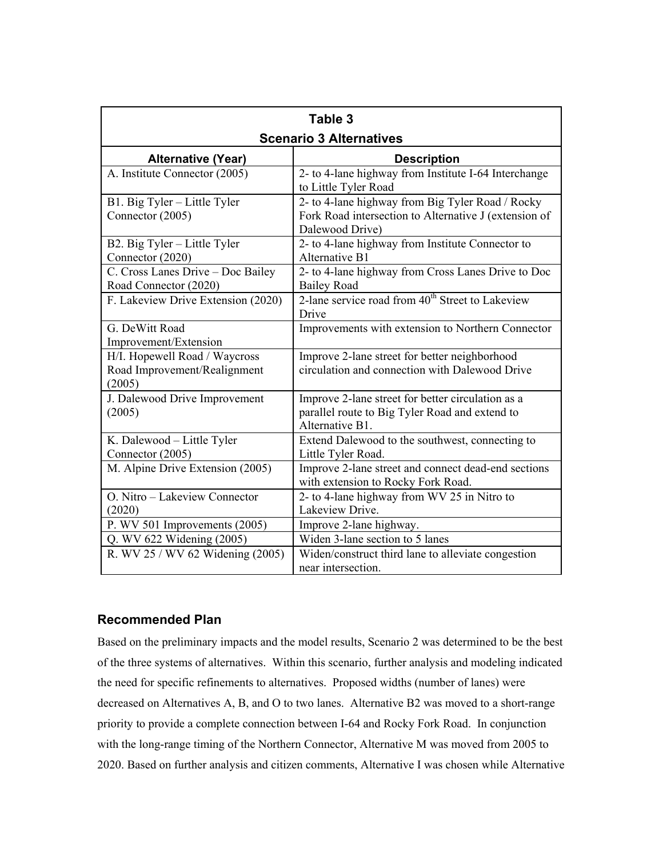| Table 3                                                                 |                                                                                                                              |  |  |  |
|-------------------------------------------------------------------------|------------------------------------------------------------------------------------------------------------------------------|--|--|--|
| <b>Scenario 3 Alternatives</b>                                          |                                                                                                                              |  |  |  |
| <b>Alternative (Year)</b>                                               | <b>Description</b>                                                                                                           |  |  |  |
| A. Institute Connector (2005)                                           | 2- to 4-lane highway from Institute I-64 Interchange<br>to Little Tyler Road                                                 |  |  |  |
| B1. Big Tyler - Little Tyler<br>Connector (2005)                        | 2- to 4-lane highway from Big Tyler Road / Rocky<br>Fork Road intersection to Alternative J (extension of<br>Dalewood Drive) |  |  |  |
| B2. Big Tyler - Little Tyler<br>Connector (2020)                        | 2- to 4-lane highway from Institute Connector to<br>Alternative B1                                                           |  |  |  |
| C. Cross Lanes Drive - Doc Bailey<br>Road Connector (2020)              | 2- to 4-lane highway from Cross Lanes Drive to Doc<br><b>Bailey Road</b>                                                     |  |  |  |
| F. Lakeview Drive Extension (2020)                                      | 2-lane service road from 40 <sup>th</sup> Street to Lakeview<br>Drive                                                        |  |  |  |
| G. DeWitt Road<br>Improvement/Extension                                 | Improvements with extension to Northern Connector                                                                            |  |  |  |
| H/I. Hopewell Road / Waycross<br>Road Improvement/Realignment<br>(2005) | Improve 2-lane street for better neighborhood<br>circulation and connection with Dalewood Drive                              |  |  |  |
| J. Dalewood Drive Improvement<br>(2005)                                 | Improve 2-lane street for better circulation as a<br>parallel route to Big Tyler Road and extend to<br>Alternative B1.       |  |  |  |
| K. Dalewood - Little Tyler<br>Connector (2005)                          | Extend Dalewood to the southwest, connecting to<br>Little Tyler Road.                                                        |  |  |  |
| M. Alpine Drive Extension (2005)                                        | Improve 2-lane street and connect dead-end sections<br>with extension to Rocky Fork Road.                                    |  |  |  |
| O. Nitro – Lakeview Connector                                           | 2- to 4-lane highway from WV 25 in Nitro to                                                                                  |  |  |  |
| (2020)<br>P. WV 501 Improvements (2005)                                 | Lakeview Drive.<br>Improve 2-lane highway.                                                                                   |  |  |  |
| Q. WV 622 Widening (2005)                                               | Widen 3-lane section to 5 lanes                                                                                              |  |  |  |
| R. WV 25 / WV 62 Widening (2005)                                        | Widen/construct third lane to alleviate congestion<br>near intersection.                                                     |  |  |  |

### **Recommended Plan**

Based on the preliminary impacts and the model results, Scenario 2 was determined to be the best of the three systems of alternatives. Within this scenario, further analysis and modeling indicated the need for specific refinements to alternatives. Proposed widths (number of lanes) were decreased on Alternatives A, B, and O to two lanes. Alternative B2 was moved to a short-range priority to provide a complete connection between I-64 and Rocky Fork Road. In conjunction with the long-range timing of the Northern Connector, Alternative M was moved from 2005 to 2020. Based on further analysis and citizen comments, Alternative I was chosen while Alternative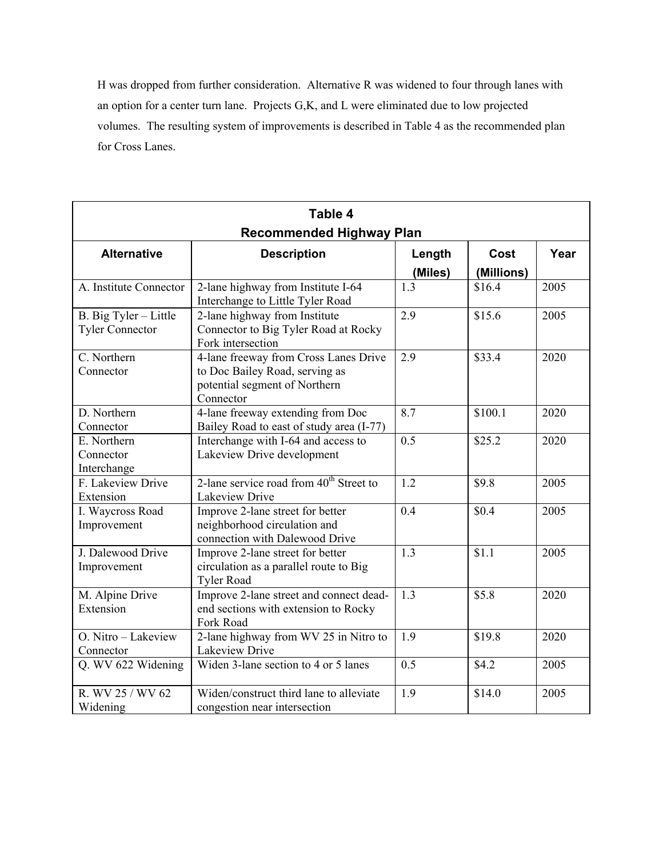H was dropped from further consideration. Alternative R was widened to four through lanes with an option for a center turn lane. Projects G,K, and L were eliminated due to low projected volumes. The resulting system of improvements is described in Table 4 as the recommended plan for Cross Lanes.

| Table 4                                         |                                                                                                                       |                   |                    |      |  |  |  |
|-------------------------------------------------|-----------------------------------------------------------------------------------------------------------------------|-------------------|--------------------|------|--|--|--|
| <b>Recommended Highway Plan</b>                 |                                                                                                                       |                   |                    |      |  |  |  |
| <b>Alternative</b>                              | <b>Description</b>                                                                                                    | Length<br>(Miles) | Cost<br>(Millions) | Year |  |  |  |
| A. Institute Connector                          | 2-lane highway from Institute I-64<br>Interchange to Little Tyler Road                                                | 1.3               | \$16.4             | 2005 |  |  |  |
| B. Big Tyler - Little<br><b>Tyler Connector</b> | 2-lane highway from Institute<br>Connector to Big Tyler Road at Rocky<br>Fork intersection                            | 2.9               | \$15.6             | 2005 |  |  |  |
| C. Northern<br>Connector                        | 4-lane freeway from Cross Lanes Drive<br>to Doc Bailey Road, serving as<br>potential segment of Northern<br>Connector | 2.9               | \$33.4             | 2020 |  |  |  |
| D. Northern<br>Connector                        | 4-lane freeway extending from Doc<br>Bailey Road to east of study area (I-77)                                         | 8.7               | \$100.1            | 2020 |  |  |  |
| E. Northern<br>Connector<br>Interchange         | Interchange with I-64 and access to<br>Lakeview Drive development                                                     | 0.5               | \$25.2             | 2020 |  |  |  |
| F. Lakeview Drive<br>Extension                  | 2-lane service road from 40 <sup>th</sup> Street to<br>Lakeview Drive                                                 | 1.2               | \$9.8              | 2005 |  |  |  |
| I. Waycross Road<br>Improvement                 | Improve 2-lane street for better<br>neighborhood circulation and<br>connection with Dalewood Drive                    | 0.4               | \$0.4              | 2005 |  |  |  |
| J. Dalewood Drive<br>Improvement                | Improve 2-lane street for better<br>circulation as a parallel route to Big<br><b>Tyler Road</b>                       | 1.3               | \$1.1              | 2005 |  |  |  |
| M. Alpine Drive<br>Extension                    | Improve 2-lane street and connect dead-<br>end sections with extension to Rocky<br>Fork Road                          | 1.3               | \$5.8              | 2020 |  |  |  |
| O. Nitro - Lakeview<br>Connector                | 2-lane highway from WV 25 in Nitro to<br>Lakeview Drive                                                               | 1.9               | \$19.8             | 2020 |  |  |  |
| Q. WV 622 Widening                              | Widen 3-lane section to 4 or 5 lanes                                                                                  | 0.5               | \$4.2              | 2005 |  |  |  |
| R. WV 25 / WV 62<br>Widening                    | Widen/construct third lane to alleviate<br>congestion near intersection                                               | 1.9               | \$14.0             | 2005 |  |  |  |